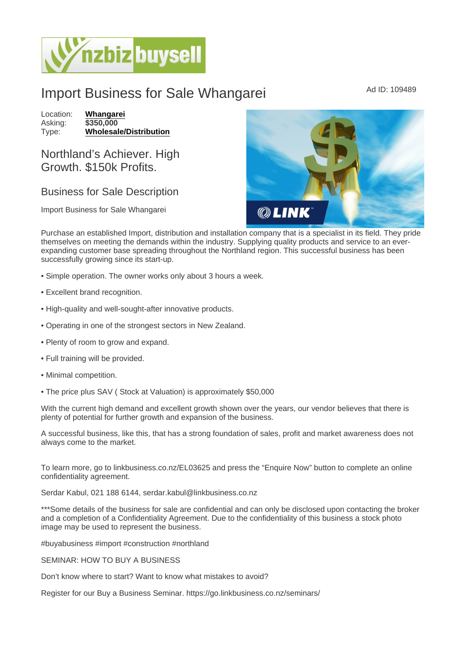## Import Business for Sale Whangarei Mad ID: 109489

Location: [Whangarei](https://www.nzbizbuysell.co.nz/businesses-for-sale/location/Whangarei) Asking: \$350,000<br>Type: Wholesale [Wholesale/Distribution](https://www.nzbizbuysell.co.nz/businesses-for-sale/Wholesale--Distribution/New-Zealand)

Northland's Achiever. High Growth. \$150k Profits.

## Business for Sale Description

Import Business for Sale Whangarei

Purchase an established Import, distribution and installation company that is a specialist in its field. They pride themselves on meeting the demands within the industry. Supplying quality products and service to an everexpanding customer base spreading throughout the Northland region. This successful business has been successfully growing since its start-up.

- Simple operation. The owner works only about 3 hours a week.
- Excellent brand recognition.
- High-quality and well-sought-after innovative products.
- Operating in one of the strongest sectors in New Zealand.
- Plenty of room to grow and expand.
- Full training will be provided.
- Minimal competition.
- The price plus SAV ( Stock at Valuation) is approximately \$50,000

With the current high demand and excellent growth shown over the years, our vendor believes that there is plenty of potential for further growth and expansion of the business.

A successful business, like this, that has a strong foundation of sales, profit and market awareness does not always come to the market.

To learn more, go to linkbusiness.co.nz/EL03625 and press the "Enquire Now" button to complete an online confidentiality agreement.

Serdar Kabul, 021 188 6144, serdar.kabul@linkbusiness.co.nz

\*\*\*Some details of the business for sale are confidential and can only be disclosed upon contacting the broker and a completion of a Confidentiality Agreement. Due to the confidentiality of this business a stock photo image may be used to represent the business.

#buyabusiness #import #construction #northland

## SEMINAR: HOW TO BUY A BUSINESS

Don't know where to start? Want to know what mistakes to avoid?

Register for our Buy a Business Seminar. https://go.linkbusiness.co.nz/seminars/